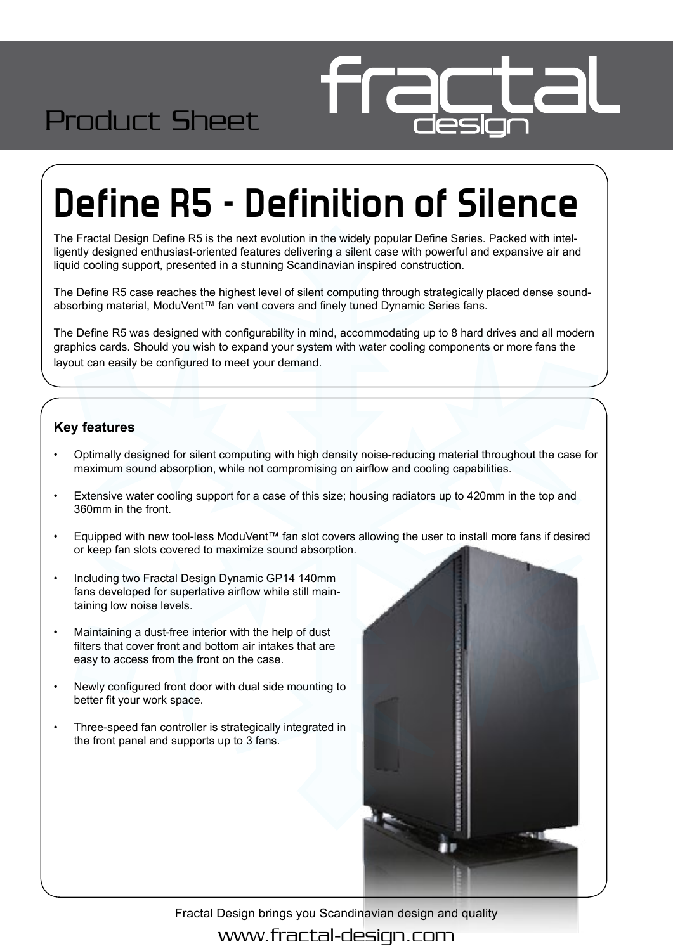

# **Define R5 - Definition of Silence**

The Fractal Design Define R5 is the next evolution in the widely popular Define Series. Packed with intelligently designed enthusiast-oriented features delivering a silent case with powerful and expansive air and liquid cooling support, presented in a stunning Scandinavian inspired construction.

The Define R5 case reaches the highest level of silent computing through strategically placed dense soundabsorbing material, ModuVent™ fan vent covers and finely tuned Dynamic Series fans.

The Define R5 was designed with configurability in mind, accommodating up to 8 hard drives and all modern graphics cards. Should you wish to expand your system with water cooling components or more fans the layout can easily be configured to meet your demand.

#### **Key features**

Product Sheet

- Optimally designed for silent computing with high density noise-reducing material throughout the case for maximum sound absorption, while not compromising on airflow and cooling capabilities.
- Extensive water cooling support for a case of this size; housing radiators up to 420mm in the top and 360mm in the front.
- Equipped with new tool-less ModuVent™ fan slot covers allowing the user to install more fans if desired or keep fan slots covered to maximize sound absorption.
- Including two Fractal Design Dynamic GP14 140mm fans developed for superlative airflow while still maintaining low noise levels.
- Maintaining a dust-free interior with the help of dust filters that cover front and bottom air intakes that are easy to access from the front on the case.
- Newly configured front door with dual side mounting to better fit your work space.
- Three-speed fan controller is strategically integrated in the front panel and supports up to 3 fans.



Fractal Design brings you Scandinavian design and quality www.fractal-design.com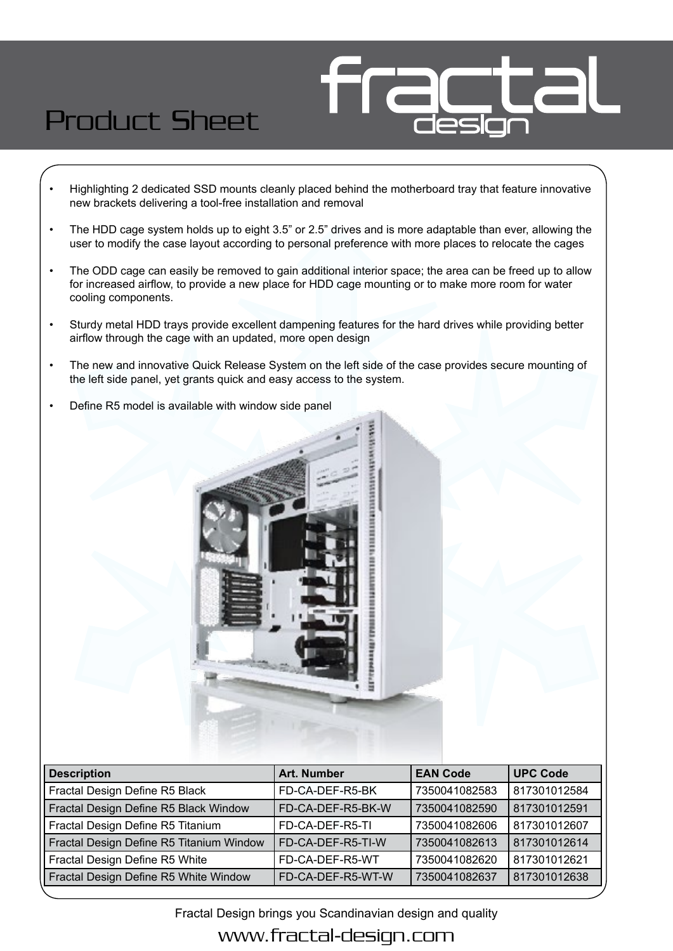### Product Sheet

- Highlighting 2 dedicated SSD mounts cleanly placed behind the motherboard tray that feature innovative new brackets delivering a tool-free installation and removal
- The HDD cage system holds up to eight 3.5" or 2.5" drives and is more adaptable than ever, allowing the user to modify the case layout according to personal preference with more places to relocate the cages
- The ODD cage can easily be removed to gain additional interior space; the area can be freed up to allow for increased airflow, to provide a new place for HDD cage mounting or to make more room for water cooling components.
- Sturdy metal HDD trays provide excellent dampening features for the hard drives while providing better airflow through the cage with an updated, more open design
- The new and innovative Quick Release System on the left side of the case provides secure mounting of the left side panel, yet grants quick and easy access to the system.
- Define R5 model is available with window side panel



| <b>Description</b>                       | <b>Art. Number</b> | <b>EAN Code</b> | <b>UPC Code</b> |
|------------------------------------------|--------------------|-----------------|-----------------|
| Fractal Design Define R5 Black           | FD-CA-DEF-R5-BK    | 7350041082583   | 817301012584    |
| Fractal Design Define R5 Black Window    | FD-CA-DEF-R5-BK-W  | 7350041082590   | 817301012591    |
| Fractal Design Define R5 Titanium        | FD-CA-DEF-R5-TI    | 7350041082606   | 817301012607    |
| Fractal Design Define R5 Titanium Window | FD-CA-DEF-R5-TI-W  | 7350041082613   | 817301012614    |
| Fractal Design Define R5 White           | FD-CA-DEF-R5-WT    | 7350041082620   | 817301012621    |
| Fractal Design Define R5 White Window    | FD-CA-DEF-R5-WT-W  | 7350041082637   | 817301012638    |

Fractal Design brings you Scandinavian design and quality

### www.fractal-design.com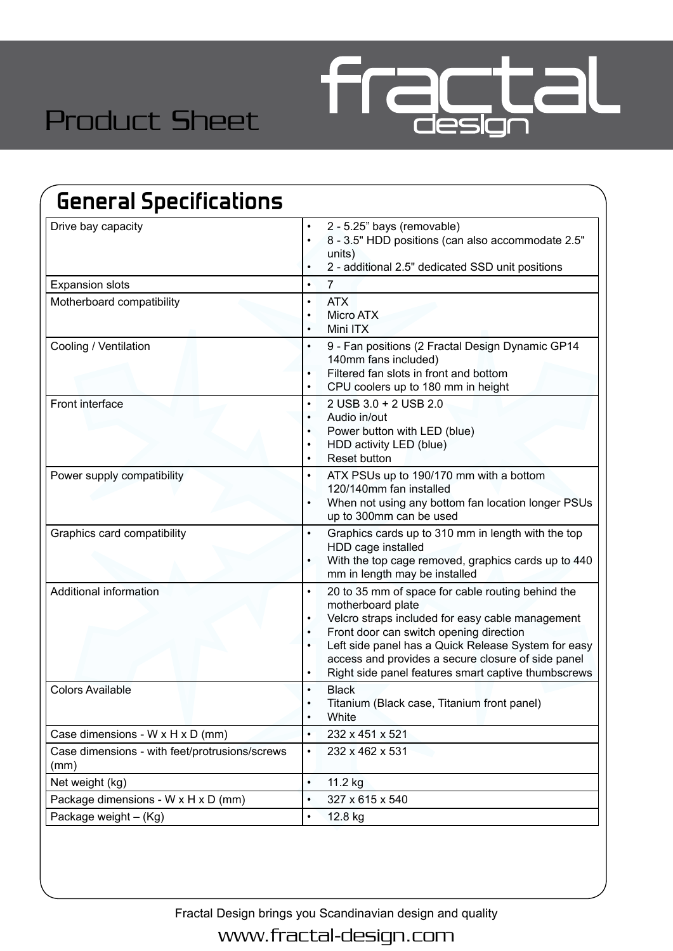

### Product Sheet

| <b>General Specifications</b>                          |                                                                                                                                                                                                                                                                                                                                                                                                            |  |
|--------------------------------------------------------|------------------------------------------------------------------------------------------------------------------------------------------------------------------------------------------------------------------------------------------------------------------------------------------------------------------------------------------------------------------------------------------------------------|--|
| Drive bay capacity                                     | 2 - 5.25" bays (removable)<br>$\bullet$<br>8 - 3.5" HDD positions (can also accommodate 2.5"<br>$\bullet$<br>units)<br>2 - additional 2.5" dedicated SSD unit positions<br>$\bullet$                                                                                                                                                                                                                       |  |
| <b>Expansion slots</b>                                 | $\overline{7}$<br>$\bullet$                                                                                                                                                                                                                                                                                                                                                                                |  |
| Motherboard compatibility                              | <b>ATX</b><br>$\bullet$<br><b>Micro ATX</b><br>$\bullet$<br>Mini ITX<br>$\bullet$                                                                                                                                                                                                                                                                                                                          |  |
| Cooling / Ventilation                                  | 9 - Fan positions (2 Fractal Design Dynamic GP14<br>140mm fans included)<br>Filtered fan slots in front and bottom<br>CPU coolers up to 180 mm in height                                                                                                                                                                                                                                                   |  |
| Front interface                                        | 2 USB 3.0 + 2 USB 2.0<br>$\bullet$<br>Audio in/out<br>$\bullet$<br>Power button with LED (blue)<br>$\bullet$<br>HDD activity LED (blue)<br>$\bullet$<br><b>Reset button</b><br>$\bullet$                                                                                                                                                                                                                   |  |
| Power supply compatibility                             | ATX PSUs up to 190/170 mm with a bottom<br>$\bullet$<br>120/140mm fan installed<br>When not using any bottom fan location longer PSUs<br>up to 300mm can be used                                                                                                                                                                                                                                           |  |
| Graphics card compatibility                            | Graphics cards up to 310 mm in length with the top<br>$\bullet$<br>HDD cage installed<br>With the top cage removed, graphics cards up to 440<br>mm in length may be installed                                                                                                                                                                                                                              |  |
| Additional information                                 | 20 to 35 mm of space for cable routing behind the<br>$\bullet$<br>motherboard plate<br>Velcro straps included for easy cable management<br>$\bullet$<br>Front door can switch opening direction<br>$\bullet$<br>Left side panel has a Quick Release System for easy<br>$\bullet$<br>access and provides a secure closure of side panel<br>Right side panel features smart captive thumbscrews<br>$\bullet$ |  |
| <b>Colors Available</b>                                | <b>Black</b><br>Titanium (Black case, Titanium front panel)<br>$\bullet$<br>White<br>$\bullet$                                                                                                                                                                                                                                                                                                             |  |
| Case dimensions - W x H x D (mm)                       | 232 x 451 x 521<br>$\bullet$                                                                                                                                                                                                                                                                                                                                                                               |  |
| Case dimensions - with feet/protrusions/screws<br>(mm) | 232 x 462 x 531<br>$\bullet$                                                                                                                                                                                                                                                                                                                                                                               |  |
| Net weight (kg)                                        | 11.2 kg<br>$\bullet$                                                                                                                                                                                                                                                                                                                                                                                       |  |
| Package dimensions - W x H x D (mm)                    | 327 x 615 x 540<br>$\bullet$                                                                                                                                                                                                                                                                                                                                                                               |  |
| Package weight - (Kg)                                  | 12.8 kg                                                                                                                                                                                                                                                                                                                                                                                                    |  |

Fractal Design brings you Scandinavian design and quality